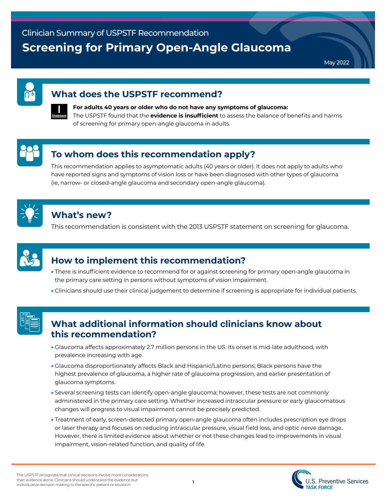May 2022

#### **What does the USPSTF recommend?**



#### **For adults 40 years or older who do not have any symptoms of glaucoma:**  The USPSTF found that the **evidence is insufficient** to assess the balance of benefits and harms of screening for primary open-angle glaucoma in adults.

# **To whom does this recommendation apply?**

This recommendation applies to asymptomatic adults (40 years or older). It does not apply to adults who have reported signs and symptoms of vision loss or have been diagnosed with other types of glaucoma (ie, narrow- or closed-angle glaucoma and secondary open-angle glaucoma).



# **What's new?**

This recommendation is consistent with the 2013 USPSTF statement on screening for glaucoma.



## **How to implement this recommendation?**

- There is insufficient evidence to recommend for or against screening for primary open-angle glaucoma in the primary care setting in persons without symptoms of vision impairment.
- Clinicians should use their clinical judgement to determine if screening is appropriate for individual patients.



### **What additional information should clinicians know about this recommendation?**

- Glaucoma affects approximately 2.7 million persons in the US. Its onset is mid-late adulthood, with prevalence increasing with age.
- Glaucoma disproportionately affects Black and Hispanic/Latino persons; Black persons have the highest prevalence of glaucoma, a higher rate of glaucoma progression, and earlier presentation of glaucoma symptoms.
- Several screening tests can identify open-angle glaucoma; however, these tests are not commonly administered in the primary care setting. Whether increased intraocular pressure or early glaucomatous changes will progress to visual impairment cannot be precisely predicted.
- Treatment of early, screen-detected primary open-angle glaucoma often includes prescription eye drops or laser therapy and focuses on reducing intraocular pressure, visual field loss, and optic nerve damage. However, there is limited evidence about whether or not these changes lead to improvements in visual impairment, vision-related function, and quality of life.